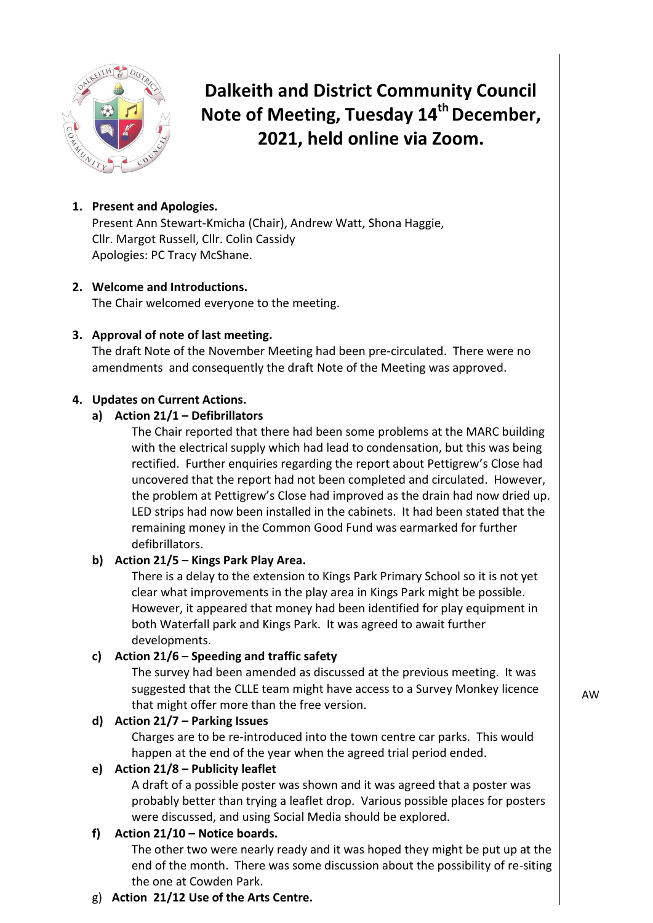

**Dalkeith and District Community Council Note of Meeting, Tuesday 14th December, 2021, held online via Zoom.**

# **1. Present and Apologies.**

Present Ann Stewart-Kmicha (Chair), Andrew Watt, Shona Haggie, Cllr. Margot Russell, Cllr. Colin Cassidy Apologies: PC Tracy McShane.

#### **2. Welcome and Introductions.** The Chair welcomed everyone to the meeting.

## **3. Approval of note of last meeting.**

The draft Note of the November Meeting had been pre-circulated. There were no amendments and consequently the draft Note of the Meeting was approved.

## **4. Updates on Current Actions.**

## **a) Action 21/1 – Defibrillators**

The Chair reported that there had been some problems at the MARC building with the electrical supply which had lead to condensation, but this was being rectified. Further enquiries regarding the report about Pettigrew's Close had uncovered that the report had not been completed and circulated. However, the problem at Pettigrew's Close had improved as the drain had now dried up. LED strips had now been installed in the cabinets. It had been stated that the remaining money in the Common Good Fund was earmarked for further defibrillators.

## **b) Action 21/5 – Kings Park Play Area.**

There is a delay to the extension to Kings Park Primary School so it is not yet clear what improvements in the play area in Kings Park might be possible. However, it appeared that money had been identified for play equipment in both Waterfall park and Kings Park. It was agreed to await further developments.

## **c) Action 21/6 – Speeding and traffic safety**

The survey had been amended as discussed at the previous meeting. It was suggested that the CLLE team might have access to a Survey Monkey licence that might offer more than the free version.

## **d) Action 21/7 – Parking Issues**

Charges are to be re-introduced into the town centre car parks. This would happen at the end of the year when the agreed trial period ended.

## **e) Action 21/8 – Publicity leaflet**

A draft of a possible poster was shown and it was agreed that a poster was probably better than trying a leaflet drop. Various possible places for posters were discussed, and using Social Media should be explored.

## **f) Action 21/10 – Notice boards.**

The other two were nearly ready and it was hoped they might be put up at the end of the month. There was some discussion about the possibility of re-siting the one at Cowden Park.

## g) **Action 21/12 Use of the Arts Centre.**

AW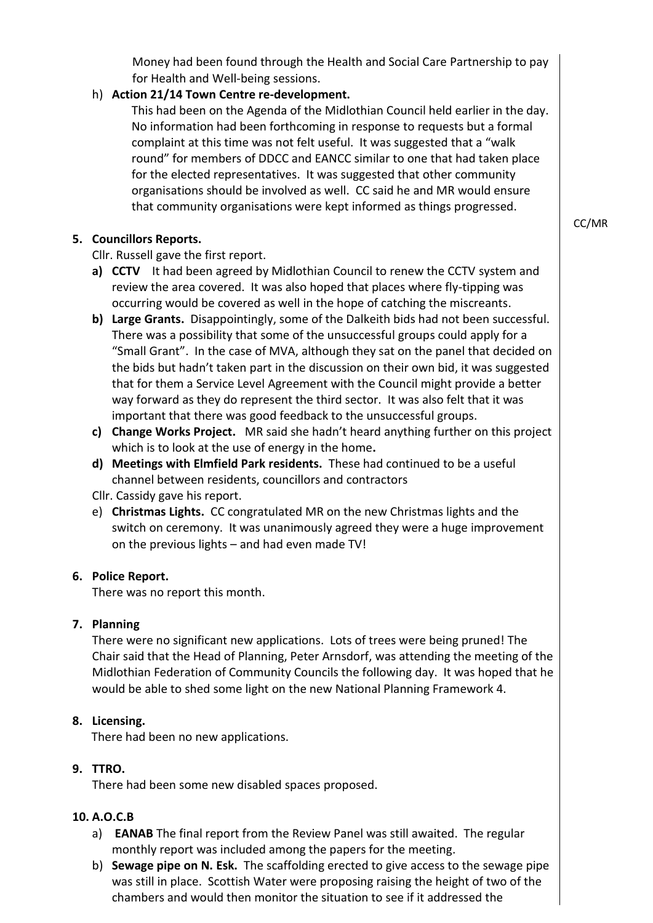Money had been found through the Health and Social Care Partnership to pay for Health and Well-being sessions.

## h) **Action 21/14 Town Centre re-development.**

This had been on the Agenda of the Midlothian Council held earlier in the day. No information had been forthcoming in response to requests but a formal complaint at this time was not felt useful. It was suggested that a "walk round" for members of DDCC and EANCC similar to one that had taken place for the elected representatives. It was suggested that other community organisations should be involved as well. CC said he and MR would ensure that community organisations were kept informed as things progressed.

#### **5. Councillors Reports.**

Cllr. Russell gave the first report.

- **a) CCTV** It had been agreed by Midlothian Council to renew the CCTV system and review the area covered. It was also hoped that places where fly-tipping was occurring would be covered as well in the hope of catching the miscreants.
- **b) Large Grants.** Disappointingly, some of the Dalkeith bids had not been successful. There was a possibility that some of the unsuccessful groups could apply for a "Small Grant". In the case of MVA, although they sat on the panel that decided on the bids but hadn't taken part in the discussion on their own bid, it was suggested that for them a Service Level Agreement with the Council might provide a better way forward as they do represent the third sector. It was also felt that it was important that there was good feedback to the unsuccessful groups.
- **c) Change Works Project.** MR said she hadn't heard anything further on this project which is to look at the use of energy in the home**.**
- **d) Meetings with Elmfield Park residents.** These had continued to be a useful channel between residents, councillors and contractors
- Cllr. Cassidy gave his report.
- e) **Christmas Lights.** CC congratulated MR on the new Christmas lights and the switch on ceremony. It was unanimously agreed they were a huge improvement on the previous lights – and had even made TV!

#### **6. Police Report.**

There was no report this month.

#### **7. Planning**

There were no significant new applications. Lots of trees were being pruned! The Chair said that the Head of Planning, Peter Arnsdorf, was attending the meeting of the Midlothian Federation of Community Councils the following day. It was hoped that he would be able to shed some light on the new National Planning Framework 4.

## **8. Licensing.**

There had been no new applications.

## **9. TTRO.**

There had been some new disabled spaces proposed.

## **10. A.O.C.B**

- a) **EANAB** The final report from the Review Panel was still awaited. The regular monthly report was included among the papers for the meeting.
- b) **Sewage pipe on N. Esk.** The scaffolding erected to give access to the sewage pipe was still in place. Scottish Water were proposing raising the height of two of the chambers and would then monitor the situation to see if it addressed the

CC/MR